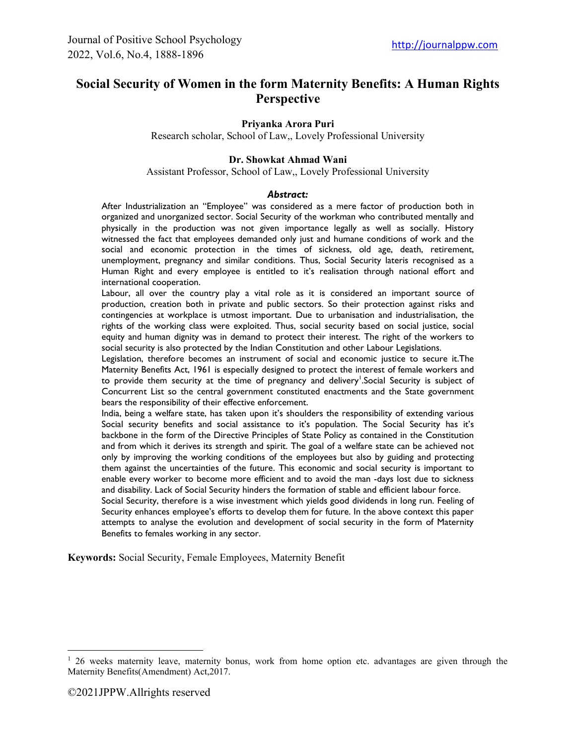# **Social Security of Women in the form Maternity Benefits: A Human Rights Perspective**

#### **Priyanka Arora Puri**

Research scholar, School of Law,, Lovely Professional University

#### **Dr. Showkat Ahmad Wani**

Assistant Professor, School of Law,, Lovely Professional University

#### *Abstract:*

After Industrialization an "Employee" was considered as a mere factor of production both in organized and unorganized sector. Social Security of the workman who contributed mentally and physically in the production was not given importance legally as well as socially. History witnessed the fact that employees demanded only just and humane conditions of work and the social and economic protection in the times of sickness, old age, death, retirement, unemployment, pregnancy and similar conditions. Thus, Social Security lateris recognised as a Human Right and every employee is entitled to it's realisation through national effort and international cooperation.

Labour, all over the country play a vital role as it is considered an important source of production, creation both in private and public sectors. So their protection against risks and contingencies at workplace is utmost important. Due to urbanisation and industrialisation, the rights of the working class were exploited. Thus, social security based on social justice, social equity and human dignity was in demand to protect their interest. The right of the workers to social security is also protected by the Indian Constitution and other Labour Legislations.

Legislation, therefore becomes an instrument of social and economic justice to secure it.The Maternity Benefits Act, 1961 is especially designed to protect the interest of female workers and to provide them security at the time of pregnancy and delivery<sup>1</sup>. Social Security is subject of Concurrent List so the central government constituted enactments and the State government bears the responsibility of their effective enforcement.

India, being a welfare state, has taken upon it's shoulders the responsibility of extending various Social security benefits and social assistance to it's population. The Social Security has it's backbone in the form of the Directive Principles of State Policy as contained in the Constitution and from which it derives its strength and spirit. The goal of a welfare state can be achieved not only by improving the working conditions of the employees but also by guiding and protecting them against the uncertainties of the future. This economic and social security is important to enable every worker to become more efficient and to avoid the man -days lost due to sickness and disability. Lack of Social Security hinders the formation of stable and efficient labour force.

Social Security, therefore is a wise investment which yields good dividends in long run. Feeling of Security enhances employee's efforts to develop them for future. In the above context this paper attempts to analyse the evolution and development of social security in the form of Maternity Benefits to females working in any sector.

**Keywords:** Social Security, Female Employees, Maternity Benefit

<sup>&</sup>lt;sup>1</sup> 26 weeks maternity leave, maternity bonus, work from home option etc. advantages are given through the Maternity Benefits(Amendment) Act,2017.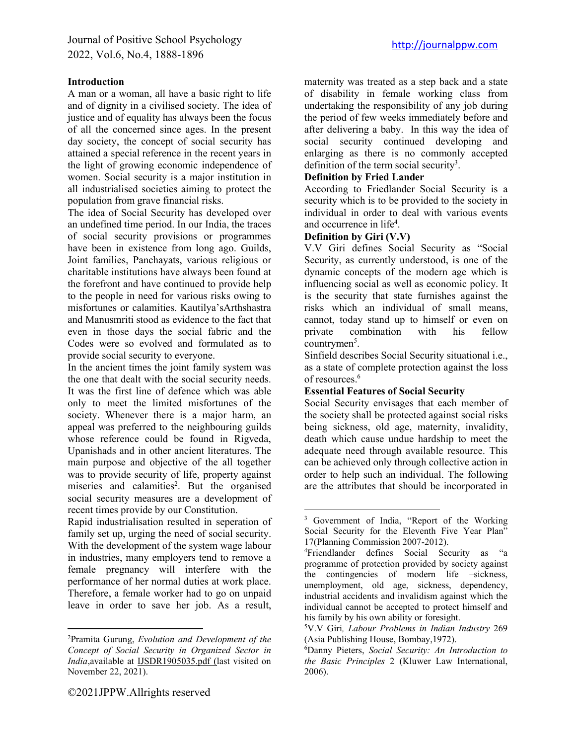### **Introduction**

A man or a woman, all have a basic right to life and of dignity in a civilised society. The idea of justice and of equality has always been the focus of all the concerned since ages. In the present day society, the concept of social security has attained a special reference in the recent years in the light of growing economic independence of women. Social security is a major institution in all industrialised societies aiming to protect the population from grave financial risks.

The idea of Social Security has developed over an undefined time period. In our India, the traces of social security provisions or programmes have been in existence from long ago. Guilds, Joint families, Panchayats, various religious or charitable institutions have always been found at the forefront and have continued to provide help to the people in need for various risks owing to misfortunes or calamities. Kautilya'sArthshastra and Manusmriti stood as evidence to the fact that even in those days the social fabric and the Codes were so evolved and formulated as to provide social security to everyone.

In the ancient times the joint family system was the one that dealt with the social security needs. It was the first line of defence which was able only to meet the limited misfortunes of the society. Whenever there is a major harm, an appeal was preferred to the neighbouring guilds whose reference could be found in Rigveda, Upanishads and in other ancient literatures. The main purpose and objective of the all together was to provide security of life, property against miseries and calamities<sup>2</sup>. But the organised social security measures are a development of recent times provide by our Constitution.

Rapid industrialisation resulted in seperation of family set up, urging the need of social security. With the development of the system wage labour in industries, many employers tend to remove a female pregnancy will interfere with the performance of her normal duties at work place. Therefore, a female worker had to go on unpaid leave in order to save her job. As a result,

maternity was treated as a step back and a state of disability in female working class from undertaking the responsibility of any job during the period of few weeks immediately before and after delivering a baby. In this way the idea of social security continued developing and enlarging as there is no commonly accepted definition of the term social security<sup>3</sup>.

#### **Definition by Fried Lander**

According to Friedlander Social Security is a security which is to be provided to the society in individual in order to deal with various events and occurrence in life<sup>4</sup>.

#### **Definition by Giri (V.V)**

V.V Giri defines Social Security as "Social Security, as currently understood, is one of the dynamic concepts of the modern age which is influencing social as well as economic policy. It is the security that state furnishes against the risks which an individual of small means, cannot, today stand up to himself or even on private combination with his fellow countrymen<sup>5</sup>.

Sinfield describes Social Security situational i.e., as a state of complete protection against the loss of resources.6

#### **Essential Features of Social Security**

Social Security envisages that each member of the society shall be protected against social risks being sickness, old age, maternity, invalidity, death which cause undue hardship to meet the adequate need through available resource. This can be achieved only through collective action in order to help such an individual. The following are the attributes that should be incorporated in

<sup>2</sup> Pramita Gurung, *Evolution and Development of the Concept of Social Security in Organized Sector in India*[,available at IJSDR1905035.pdf \(last visited](http://www.yourarticlelibrary.com(visited/) on November 22, 2021).

<sup>&</sup>lt;sup>3</sup> Government of India, "Report of the Working Social Security for the Eleventh Five Year Plan" 17(Planning Commission 2007-2012).

<sup>4</sup> Friendlander defines Social Security as "a programme of protection provided by society against the contingencies of modern life –sickness, unemployment, old age, sickness, dependency, industrial accidents and invalidism against which the individual cannot be accepted to protect himself and his family by his own ability or foresight.

<sup>5</sup> V.V Giri*, Labour Problems in Indian Industry* 269 (Asia Publishing House, Bombay,1972).

<sup>6</sup> Danny Pieters, *Social Security: An Introduction to the Basic Principles* 2 (Kluwer Law International, 2006).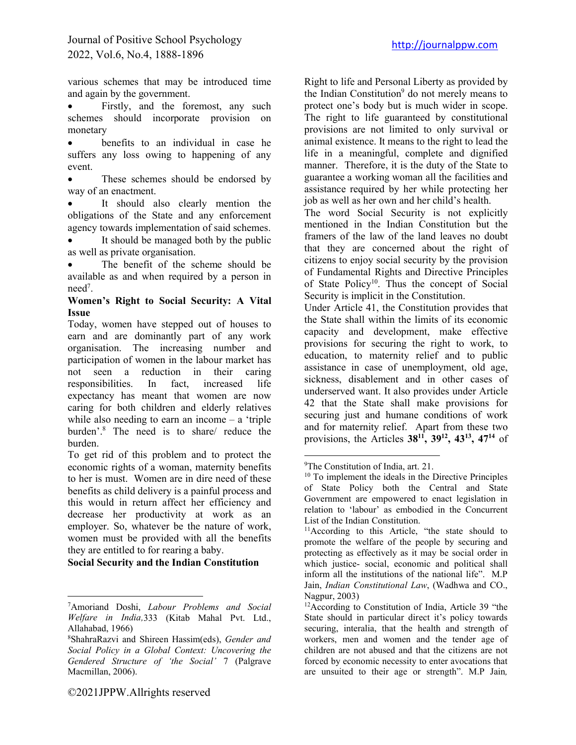various schemes that may be introduced time and again by the government.

Firstly, and the foremost, any such schemes should incorporate provision on monetary

benefits to an individual in case he suffers any loss owing to happening of any event.

These schemes should be endorsed by way of an enactment.

It should also clearly mention the obligations of the State and any enforcement agency towards implementation of said schemes.

It should be managed both by the public as well as private organisation.

The benefit of the scheme should be available as and when required by a person in need<sup>7</sup>.

#### **Women's Right to Social Security: A Vital Issue**

Today, women have stepped out of houses to earn and are dominantly part of any work organisation. The increasing number and participation of women in the labour market has not seen a reduction in their caring responsibilities. In fact, increased life expectancy has meant that women are now caring for both children and elderly relatives while also needing to earn an income – a 'triple burden'.8 The need is to share/ reduce the burden.

To get rid of this problem and to protect the economic rights of a woman, maternity benefits to her is must. Women are in dire need of these benefits as child delivery is a painful process and this would in return affect her efficiency and decrease her productivity at work as an employer. So, whatever be the nature of work, women must be provided with all the benefits they are entitled to for rearing a baby.

**Social Security and the Indian Constitution**

the Indian Constitution<sup>9</sup> do not merely means to protect one's body but is much wider in scope. The right to life guaranteed by constitutional provisions are not limited to only survival or animal existence. It means to the right to lead the life in a meaningful, complete and dignified manner. Therefore, it is the duty of the State to guarantee a working woman all the facilities and assistance required by her while protecting her job as well as her own and her child's health. The word Social Security is not explicitly

Right to life and Personal Liberty as provided by

mentioned in the Indian Constitution but the framers of the law of the land leaves no doubt that they are concerned about the right of citizens to enjoy social security by the provision of Fundamental Rights and Directive Principles of State Policy<sup>10</sup>. Thus the concept of Social Security is implicit in the Constitution.

Under Article 41, the Constitution provides that the State shall within the limits of its economic capacity and development, make effective provisions for securing the right to work, to education, to maternity relief and to public assistance in case of unemployment, old age, sickness, disablement and in other cases of underserved want. It also provides under Article 42 that the State shall make provisions for securing just and humane conditions of work and for maternity relief. Apart from these two provisions, the Articles **3811, 3912, 4313, 4714** of

<sup>7</sup> Amoriand Doshi, *Labour Problems and Social Welfare in India,*333 (Kitab Mahal Pvt. Ltd., Allahabad, 1966)

<sup>8</sup> ShahraRazvi and Shireen Hassim(eds), *Gender and Social Policy in a Global Context: Uncovering the Gendered Structure of 'the Social'* 7 (Palgrave Macmillan, 2006).

<sup>&</sup>lt;sup>9</sup>The Constitution of India, art. 21.

<sup>10</sup> To implement the ideals in the Directive Principles of State Policy both the Central and State Government are empowered to enact legislation in relation to 'labour' as embodied in the Concurrent List of the Indian Constitution.

<sup>&</sup>lt;sup>11</sup>According to this Article, "the state should to promote the welfare of the people by securing and protecting as effectively as it may be social order in which justice- social, economic and political shall inform all the institutions of the national life". M.P Jain, *Indian Constitutional Law*, (Wadhwa and CO., Nagpur, 2003)

<sup>12</sup>According to Constitution of India, Article 39 "the State should in particular direct it's policy towards securing, interalia, that the health and strength of workers, men and women and the tender age of children are not abused and that the citizens are not forced by economic necessity to enter avocations that are unsuited to their age or strength". M.P Jain*,*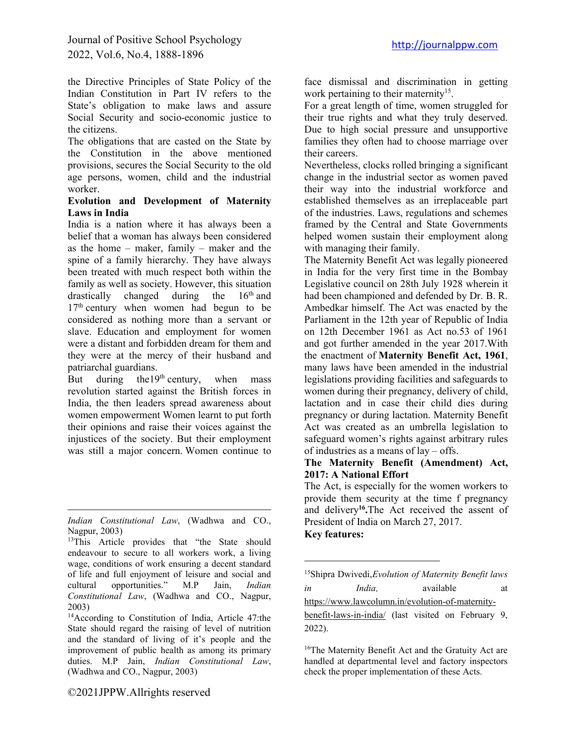the Directive Principles of State Policy of the Indian Constitution in Part IV refers to the State's obligation to make laws and assure Social Security and socio-economic justice to the citizens.

The obligations that are casted on the State by the Constitution in the above mentioned provisions, secures the Social Security to the old age persons, women, child and the industrial worker.

### **Evolution and Development of Maternity Laws in India**

India is a nation where it has always been a belief that a woman has always been considered as the home – maker, family – maker and the spine of a family hierarchy. They have always been treated with much respect both within the family as well as society. However, this situation drastically changed during the  $16<sup>th</sup>$  and 17<sup>th</sup> century when women had begun to be considered as nothing more than a servant or slave. Education and employment for women were a distant and forbidden dream for them and they were at the mercy of their husband and patriarchal guardians.

But during the  $19<sup>th</sup>$  century, when mass revolution started against the British forces in India, the then leaders spread awareness about women empowerment Women learnt to put forth their opinions and raise their voices against the injustices of the society. But their employment was still a major concern. Women continue to

face dismissal and discrimination in getting work pertaining to their maternity<sup>15</sup>.

For a great length of time, women struggled for their true rights and what they truly deserved. Due to high social pressure and unsupportive families they often had to choose marriage over their careers.

Nevertheless, clocks rolled bringing a significant change in the industrial sector as women paved their way into the industrial workforce and established themselves as an irreplaceable part of the industries. Laws, regulations and schemes framed by the Central and State Governments helped women sustain their employment along with managing their family.

The Maternity Benefit Act was legally pioneered in India for the very first time in the Bombay Legislative council on 28th July 1928 wherein it had been championed and defended by Dr. B. R. Ambedkar himself. The Act was enacted by the Parliament in the 12th year of Republic of India on 12th December 1961 as Act no.53 of 1961 and got further amended in the year 2017.With the enactment of **Maternity Benefit Act, 1961**, many laws have been amended in the industrial legislations providing facilities and safeguards to women during their pregnancy, delivery of child, lactation and in case their child dies during pregnancy or during lactation. Maternity Benefit Act was created as an umbrella legislation to safeguard women's rights against arbitrary rules of industries as a means of lay – offs.

#### **The Maternity Benefit (Amendment) Act, 2017: A National Effort**

The Act, is especially for the women workers to provide them security at the time f pregnancy and delivery**16.**The Act received the assent of President of India on March 27, 2017.

## **Key features:**

| <sup>15</sup> Shipra Dwivedi, Evolution of Maternity Benefit laws |        |           |    |
|-------------------------------------------------------------------|--------|-----------|----|
| in                                                                | India. | available | at |
| https://www.lawcolumn.in/evolution-of-maternity-                  |        |           |    |

[benefit-laws-in-india/](https://www.lawcolumn.in/evolution-of-maternity-benefit-laws-in-india/) (last visited on February 9, 2022).

<sup>16</sup>The Maternity Benefit Act and the Gratuity Act are handled at departmental level and factory inspectors check the proper implementation of these Acts.

*Indian Constitutional Law*, (Wadhwa and CO., Nagpur, 2003)

<sup>&</sup>lt;sup>13</sup>This Article provides that "the State should endeavour to secure to all workers work, a living wage, conditions of work ensuring a decent standard of life and full enjoyment of leisure and social and cultural opportunities." M.P Jain, *Indian Constitutional Law*, (Wadhwa and CO., Nagpur, 2003)

<sup>14</sup>According to Constitution of India, Article 47:the State should regard the raising of level of nutrition and the standard of living of it's people and the improvement of public health as among its primary duties. M.P Jain, *Indian Constitutional Law*, (Wadhwa and CO., Nagpur, 2003)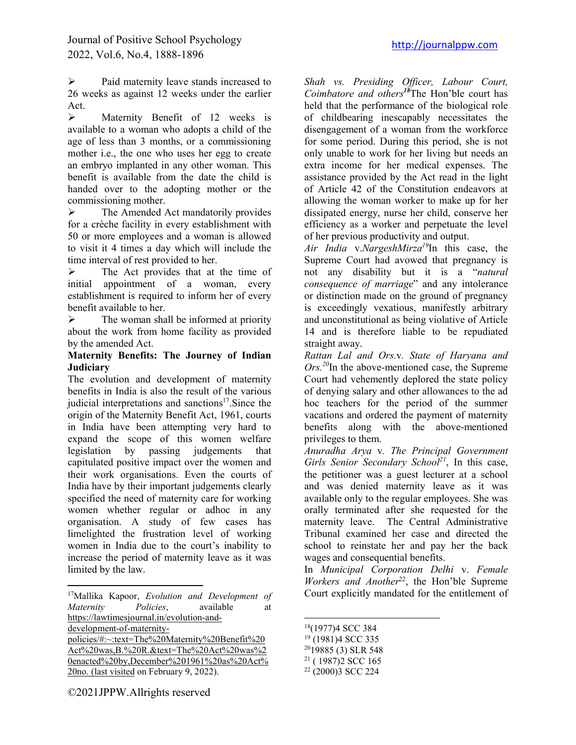$\triangleright$  Paid maternity leave stands increased to 26 weeks as against 12 weeks under the earlier Act.

 $\triangleright$  Maternity Benefit of 12 weeks is available to a woman who adopts a child of the age of less than 3 months, or a commissioning mother i.e., the one who uses her egg to create an embryo implanted in any other woman. This benefit is available from the date the child is handed over to the adopting mother or the commissioning mother.

 $\triangleright$  The Amended Act mandatorily provides for a crèche facility in every establishment with 50 or more employees and a woman is allowed to visit it 4 times a day which will include the time interval of rest provided to her.

 $\triangleright$  The Act provides that at the time of initial appointment of a woman, every establishment is required to inform her of every benefit available to her.

 $\triangleright$  The woman shall be informed at priority about the work from home facility as provided by the amended Act.

### **Maternity Benefits: The Journey of Indian Judiciary**

The evolution and development of maternity benefits in India is also the result of the various judicial interpretations and sanctions<sup>17</sup>. Since the origin of the Maternity Benefit Act, 1961, courts in India have been attempting very hard to expand the scope of this women welfare legislation by passing judgements that capitulated positive impact over the women and their work organisations. Even the courts of India have by their important judgements clearly specified the need of maternity care for working women whether regular or adhoc in any organisation. A study of few cases has limelighted the frustration level of working women in India due to the court's inability to increase the period of maternity leave as it was limited by the law.

[policies/#:~:text=The%20Maternity%20Benefit%20](https://lawtimesjournal.in/evolution-and-development-of-maternity-policies/#:~:text=The%20Maternity%20Benefit%20Act%20was,B.%20R.&text=The%20Act%20was%20enacted%20by,December%201961%20as%20Act%20no. (last visited) [Act%20was,B.%20R.&text=The%20Act%20was%2](https://lawtimesjournal.in/evolution-and-development-of-maternity-policies/#:~:text=The%20Maternity%20Benefit%20Act%20was,B.%20R.&text=The%20Act%20was%20enacted%20by,December%201961%20as%20Act%20no. (last visited) [0enacted%20by,December%201961%20as%20Act%](https://lawtimesjournal.in/evolution-and-development-of-maternity-policies/#:~:text=The%20Maternity%20Benefit%20Act%20was,B.%20R.&text=The%20Act%20was%20enacted%20by,December%201961%20as%20Act%20no. (last visited) [20no. \(last visited o](https://lawtimesjournal.in/evolution-and-development-of-maternity-policies/#:~:text=The%20Maternity%20Benefit%20Act%20was,B.%20R.&text=The%20Act%20was%20enacted%20by,December%201961%20as%20Act%20no. (last visited)n February 9, 2022).

©2021JPPW.Allrights reserved

*Shah vs. Presiding Officer, Labour Court, Coimbatore and others<sup>18</sup>*The Hon'ble court has held that the performance of the biological role of childbearing inescapably necessitates the disengagement of a woman from the workforce for some period. During this period, she is not only unable to work for her living but needs an extra income for her medical expenses. The assistance provided by the Act read in the light of Article 42 of the Constitution endeavors at allowing the woman worker to make up for her dissipated energy, nurse her child, conserve her efficiency as a worker and perpetuate the level of her previous productivity and output.

*Air India* v.*NargeshMirza19*In this case, the Supreme Court had avowed that pregnancy is not any disability but it is a "*natural consequence of marriage*" and any intolerance or distinction made on the ground of pregnancy is exceedingly vexatious, manifestly arbitrary and unconstitutional as being violative of Article 14 and is therefore liable to be repudiated straight away.

*Rattan Lal and Ors.*v*. State of Haryana and Ors.20*In the above-mentioned case, the Supreme Court had vehemently deplored the state policy of denying salary and other allowances to the ad hoc teachers for the period of the summer vacations and ordered the payment of maternity benefits along with the above-mentioned privileges to them.

*Anuradha Arya* v*. The Principal Government Girls Senior Secondary School*<sup>21</sup>, In this case, the petitioner was a guest lecturer at a school and was denied maternity leave as it was available only to the regular employees. She was orally terminated after she requested for the maternity leave. The Central Administrative Tribunal examined her case and directed the school to reinstate her and pay her the back wages and consequential benefits.

In *Municipal Corporation Delhi* v. *Female Workers and Another*<sup>22</sup>, the Hon'ble Supreme Court explicitly mandated for the entitlement of

- <sup>19</sup> (1981)4 SCC 335
- 2019885 (3) SLR 548

<sup>17</sup>Mallika Kapoor, *Evolution and Development of Maternity Policies*, available at [https://lawtimesjournal.in/evolution-and](https://lawtimesjournal.in/evolution-and-development-of-maternity-policies/#:~:text=The%20Maternity%20Benefit%20Act%20was,B.%20R.&text=The%20Act%20was%20enacted%20by,December%201961%20as%20Act%20no. (last visited)[development-of-maternity-](https://lawtimesjournal.in/evolution-and-development-of-maternity-policies/#:~:text=The%20Maternity%20Benefit%20Act%20was,B.%20R.&text=The%20Act%20was%20enacted%20by,December%201961%20as%20Act%20no. (last visited)

<sup>18(1977)4</sup> SCC 384

 $21$  (1987) 2 SCC 165

<sup>22</sup> (2000)3 SCC 224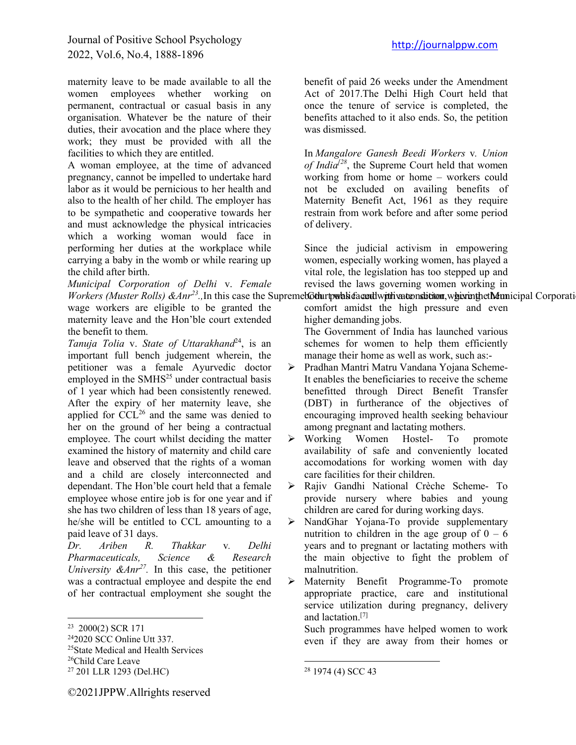# Journal of Positive School Psychology 2022, Vol.6, No.4, 1888-1896

maternity leave to be made available to all the women employees whether working on permanent, contractual or casual basis in any organisation. Whatever be the nature of their duties, their avocation and the place where they work; they must be provided with all the facilities to which they are entitled.

A woman employee, at the time of advanced pregnancy, cannot be impelled to undertake hard labor as it would be pernicious to her health and also to the health of her child. The employer has to be sympathetic and cooperative towards her and must acknowledge the physical intricacies which a working woman would face in performing her duties at the workplace while carrying a baby in the womb or while rearing up the child after birth.

*Municipal Corporation of Delhi* v. *Female Workers (Muster Rolls) & Anr<sup>23</sup>*., In this case the Supremet **Gother town his facentivity this vation of the Municipal Corporation of Delhi was provided with waternight the material Corporation of Delhi was provided with** wage workers are eligible to be granted the maternity leave and the Hon'ble court extended the benefit to them.

*Tanuja Tolia* v. *State of Uttarakhand*24, is an important full bench judgement wherein, the petitioner was a female Ayurvedic doctor employed in the  $SMHS<sup>25</sup>$  under contractual basis of 1 year which had been consistently renewed. After the expiry of her maternity leave, she applied for  $\mathrm{CCL}^{26}$  and the same was denied to her on the ground of her being a contractual employee. The court whilst deciding the matter examined the history of maternity and child care leave and observed that the rights of a woman and a child are closely interconnected and dependant. The Hon'ble court held that a female employee whose entire job is for one year and if she has two children of less than 18 years of age, he/she will be entitled to CCL amounting to a

paid leave of 31 days.<br>*Dr. Ariben R. Dr. Ariben R. Thakkar* v*. Delhi Pharmaceuticals, Science & Research University &Anr27.* In this case, the petitioner was a contractual employee and despite the end of her contractual employment she sought the

<sup>25</sup>State Medical and Health Services <sup>26</sup>Child Care Leave

benefit of paid 26 weeks under the Amendment Act of 2017.The Delhi High Court held that once the tenure of service is completed, the benefits attached to it also ends. So, the petition was dismissed.

In *Mangalore Ganesh Beedi Workers* v*. Union of India[28*, the Supreme Court held that women working from home or home – workers could not be excluded on availing benefits of Maternity Benefit Act, 1961 as they require restrain from work before and after some period of delivery.

Since the judicial activism in empowering women, especially working women, has played a vital role, the legislation has too stepped up and revised the laws governing women working in

comfort amidst the high pressure and even higher demanding jobs.

The Government of India has launched various schemes for women to help them efficiently manage their home as well as work, such as:-

- ÿ Pradhan Mantri Matru Vandana Yojana Scheme-It enables the beneficiaries to receive the scheme benefitted through Direct Benefit Transfer (DBT) in furtherance of the objectives of encouraging improved health seeking behaviour among pregnant and lactating mothers.
- ÿ Working Women Hostel- To promote availability of safe and conveniently located accomodations for working women with day care facilities for their children.
- ÿ Rajiv Gandhi National Crèche Scheme- To provide nursery where babies and young children are cared for during working days.
- ÿ NandGhar Yojana-To provide supplementary nutrition to children in the age group of  $0 - 6$ years and to pregnant or lactating mothers with the main objective to fight the problem of malnutrition.

ÿ Maternity Benefit Programme-To promote appropriate practice, care and institutional service utilization during pregnancy, delivery and lactation.[7]

Such programmes have helped women to work even if they are away from their homes or

<sup>23</sup> 2000(2) SCR 171

<sup>242020</sup> SCC Online Utt 337.

<sup>27</sup> 201 LLR 1293 (Del.HC)

<sup>28</sup> 1974 (4) SCC 43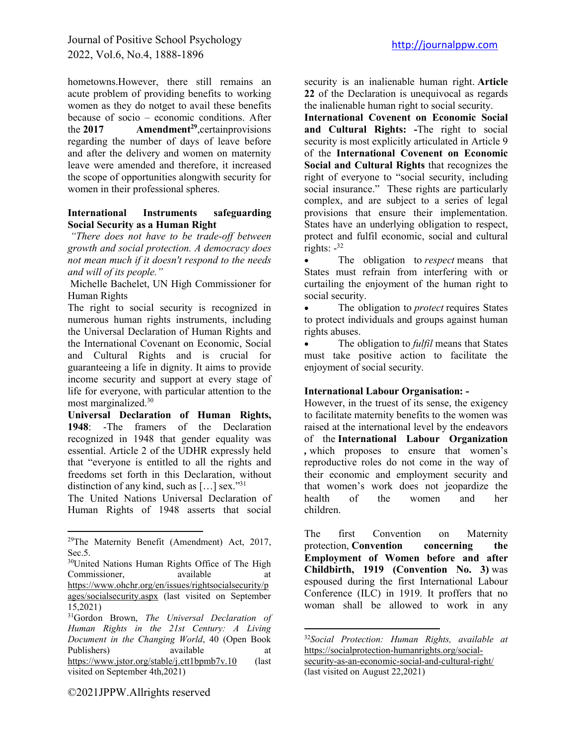hometowns.However, there still remains an acute problem of providing benefits to working women as they do notget to avail these benefits because of socio – economic conditions. After the **2017 Amendment<sup>29</sup>**,certainprovisions regarding the number of days of leave before and after the delivery and women on maternity leave were amended and therefore, it increased the scope of opportunities alongwith security for women in their professional spheres.

#### **International Instruments safeguarding Social Security as a Human Right**

*"There does not have to be trade-off between growth and social protection. A democracy does not mean much if it doesn't respond to the needs and will of its people."*

Michelle Bachelet, UN High Commissioner for Human Rights

The right to social security is recognized in numerous human rights instruments, including the Universal Declaration of Human Rights and the International Covenant on Economic, Social and Cultural Rights and is crucial for guaranteeing a life in dignity. It aims to provide income security and support at every stage of life for everyone, with particular attention to the most marginalized.30

**Universal Declaration of Human Rights, 1948**: -The framers of the Declaration recognized in 1948 that gender equality was essential. Article 2 of the UDHR expressly held that "everyone is entitled to all the rights and freedoms set forth in this Declaration, without distinction of any kind, such as  $[\dots]$  sex."<sup>31</sup>

The United Nations Universal Declaration of Human Rights of 1948 asserts that social

security is an inalienable human right. **Article 22** of the Declaration is unequivocal as regards the inalienable human right to social security.

**International Covenent on Economic Social and Cultural Rights: -**The right to social security is most explicitly articulated in Article 9 of the **International Covenent on Economic Social and Cultural Rights** that recognizes the right of everyone to "social security, including social insurance." These rights are particularly complex, and are subject to a series of legal provisions that ensure their implementation. States have an underlying obligation to respect, protect and fulfil economic, social and cultural rights:  $-32$ 

• The obligation to *respect* means that States must refrain from interfering with or curtailing the enjoyment of the human right to social security.

The obligation to *protect* requires States to protect individuals and groups against human rights abuses.

The obligation to *fulfil* means that States must take positive action to facilitate the enjoyment of social security.

# **International Labour Organisation: -**

However, in the truest of its sense, the exigency to facilitate maternity benefits to the women was raised at the international level by the endeavors of the **International Labour Organization**  *,* which proposes to ensure that women's reproductive roles do not come in the way of their economic and employment security and that women's work does not jeopardize the health of the women and her children.

The first Convention on Maternity protection, **Convention concerning the Employment of Women before and after Childbirth, 1919 (Convention No. 3)** was espoused during the first International Labour Conference (ILC) in 1919. It proffers that no woman shall be allowed to work in any

©2021JPPW.Allrights reserved

<sup>&</sup>lt;sup>29</sup>The Maternity Benefit (Amendment) Act, 2017, Sec.5.

<sup>&</sup>lt;sup>30</sup>United Nations Human Rights Office of The High Commissioner, available at [https://www.ohchr.org/en/issues/rightsocialsecurity/p](https://www.ohchr.org/en/issues/rightsocialsecurity/pages/socialsecurity.aspx) [ages/socialsecurity.aspx](https://www.ohchr.org/en/issues/rightsocialsecurity/pages/socialsecurity.aspx) (last visited on September 15,2021)

<sup>31</sup>Gordon Brown, *The Universal Declaration of Human Rights in the 21st Century: A Living Document in the Changing World*, 40 (Open Book Publishers) available at a starting and a starting and a starting and a starting and a starting and a starting and a starting and a starting and a starting and a starting and a starting and a starting and a starting and a <https://www.jstor.org/stable/j.ctt1bpmb7v.10> (last visited on September 4th,2021)

<sup>32</sup>*Social Protection: Human Rights, available at*  [https://socialprotection-humanrights.org/social](https://socialprotection-humanrights.org/social-security-as-an-economic-social-and-cultural-right/)[security-as-an-economic-social-and-cultural-right/](https://socialprotection-humanrights.org/social-security-as-an-economic-social-and-cultural-right/) (last visited on August 22,2021)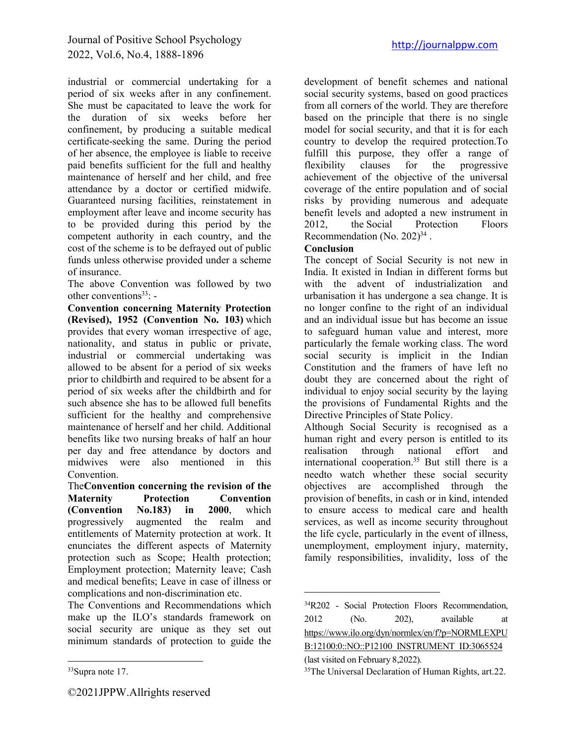industrial or commercial undertaking for a period of six weeks after in any confinement. She must be capacitated to leave the work for the duration of six weeks before her confinement, by producing a suitable medical certificate-seeking the same. During the period of her absence, the employee is liable to receive paid benefits sufficient for the full and healthy maintenance of herself and her child, and free attendance by a doctor or certified midwife. Guaranteed nursing facilities, reinstatement in employment after leave and income security has to be provided during this period by the competent authority in each country, and the cost of the scheme is to be defrayed out of public funds unless otherwise provided under a scheme of insurance.

The above Convention was followed by two other conventions $33$ : -

**Convention concerning Maternity Protection (Revised), 1952 (Convention No. 103)** which provides that every woman irrespective of age, nationality, and status in public or private, industrial or commercial undertaking was allowed to be absent for a period of six weeks prior to childbirth and required to be absent for a period of six weeks after the childbirth and for such absence she has to be allowed full benefits sufficient for the healthy and comprehensive maintenance of herself and her child. Additional benefits like two nursing breaks of half an hour per day and free attendance by doctors and midwives were also mentioned in this Convention.

The**Convention concerning the revision of the Maternity Protection Convention (Convention No.183) in 2000**, which progressively augmented the realm and entitlements of Maternity protection at work. It enunciates the different aspects of Maternity protection such as Scope; Health protection; Employment protection; Maternity leave; Cash and medical benefits; Leave in case of illness or complications and non-discrimination etc.

The Conventions and Recommendations which make up the ILO's standards framework on social security are unique as they set out minimum standards of protection to guide the

development of benefit schemes and national social security systems, based on good practices from all corners of the world. They are therefore based on the principle that there is no single model for social security, and that it is for each country to develop the required protection.To fulfill this purpose, they offer a range of flexibility clauses for the progressive achievement of the objective of the universal coverage of the entire population and of social risks by providing numerous and adequate benefit levels and adopted a new instrument in 2012, the [Social Protection Floors](http://www.ilo.org/dyn/normlex/en/f?p=NORMLEXPUB:12100:0::NO::P12100_ILO_CODE:R202)  Recommendation (No.  $202)^{34}$ .

# **Conclusion**

The concept of Social Security is not new in India. It existed in Indian in different forms but with the advent of industrialization and urbanisation it has undergone a sea change. It is no longer confine to the right of an individual and an individual issue but has become an issue to safeguard human value and interest, more particularly the female working class. The word social security is implicit in the Indian Constitution and the framers of have left no doubt they are concerned about the right of individual to enjoy social security by the laying the provisions of Fundamental Rights and the Directive Principles of State Policy.

Although Social Security is recognised as a human right and every person is entitled to its realisation through national effort and international cooperation.<sup>35</sup> But still there is a needto watch whether these social security objectives are accomplished through the provision of benefits, in cash or in kind, intended to ensure access to medical care and health services, as well as income security throughout the life cycle, particularly in the event of illness, unemployment, employment injury, maternity, family responsibilities, invalidity, loss of the

<sup>33</sup>Supra note 17.

<sup>34</sup>R202 - Social Protection Floors Recommendation, 2012 (No. 202), available at [https://www.ilo.org/dyn/normlex/en/f?p=NORMLEXPU](https://www.ilo.org/dyn/normlex/en/f?p=NORMLEXPUB:12100:0::NO::P12100_INSTRUMENT_ID:3065524) [B:12100:0::NO::P12100\\_INSTRUMENT\\_ID:3065524](https://www.ilo.org/dyn/normlex/en/f?p=NORMLEXPUB:12100:0::NO::P12100_INSTRUMENT_ID:3065524)

<sup>(</sup>last visited on February 8,2022).

<sup>&</sup>lt;sup>35</sup>The Universal Declaration of Human Rights, art.22.